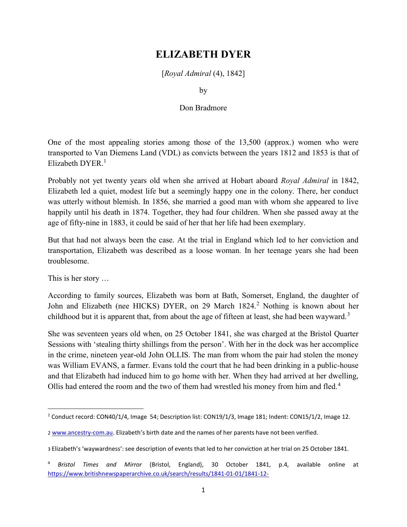## ELIZABETH DYER

[Royal Admiral (4), 1842]

by

## Don Bradmore

One of the most appealing stories among those of the 13,500 (approx.) women who were transported to Van Diemens Land (VDL) as convicts between the years 1812 and 1853 is that of Elizabeth DYER.<sup>1</sup>

Probably not yet twenty years old when she arrived at Hobart aboard Royal Admiral in 1842, Elizabeth led a quiet, modest life but a seemingly happy one in the colony. There, her conduct was utterly without blemish. In 1856, she married a good man with whom she appeared to live happily until his death in 1874. Together, they had four children. When she passed away at the age of fifty-nine in 1883, it could be said of her that her life had been exemplary.

But that had not always been the case. At the trial in England which led to her conviction and transportation, Elizabeth was described as a loose woman. In her teenage years she had been troublesome.

This is her story …

According to family sources, Elizabeth was born at Bath, Somerset, England, the daughter of John and Elizabeth (nee HICKS) DYER, on 29 March 1824.<sup>2</sup> Nothing is known about her childhood but it is apparent that, from about the age of fifteen at least, she had been wayward.<sup>3</sup>

She was seventeen years old when, on 25 October 1841, she was charged at the Bristol Quarter Sessions with 'stealing thirty shillings from the person'. With her in the dock was her accomplice in the crime, nineteen year-old John OLLIS. The man from whom the pair had stolen the money was William EVANS, a farmer. Evans told the court that he had been drinking in a public-house and that Elizabeth had induced him to go home with her. When they had arrived at her dwelling, Ollis had entered the room and the two of them had wrestled his money from him and fled.<sup>4</sup>

<sup>&</sup>lt;sup>1</sup> Conduct record: CON40/1/4, Image 54; Description list: CON19/1/3, Image 181; Indent: CON15/1/2, Image 12.

<sup>2</sup> www.ancestry-com.au. Elizabeth's birth date and the names of her parents have not been verified.

<sup>3</sup> Elizabeth's 'waywardness': see description of events that led to her conviction at her trial on 25 October 1841.

Bristol Times and Mirror (Bristol, England), 30 October 1841, p.4, available online at https://www.britishnewspaperarchive.co.uk/search/results/1841-01-01/1841-12-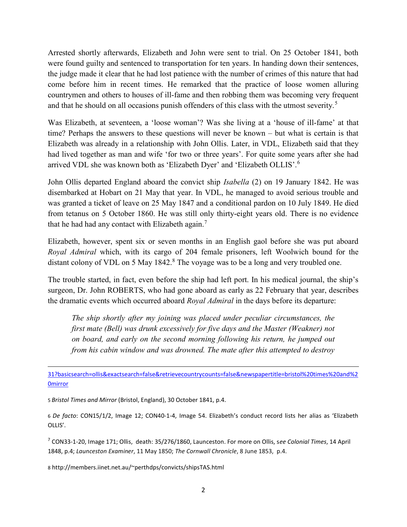Arrested shortly afterwards, Elizabeth and John were sent to trial. On 25 October 1841, both were found guilty and sentenced to transportation for ten years. In handing down their sentences, the judge made it clear that he had lost patience with the number of crimes of this nature that had come before him in recent times. He remarked that the practice of loose women alluring countrymen and others to houses of ill-fame and then robbing them was becoming very frequent and that he should on all occasions punish offenders of this class with the utmost severity.<sup>5</sup>

Was Elizabeth, at seventeen, a 'loose woman'? Was she living at a 'house of ill-fame' at that time? Perhaps the answers to these questions will never be known – but what is certain is that Elizabeth was already in a relationship with John Ollis. Later, in VDL, Elizabeth said that they had lived together as man and wife 'for two or three years'. For quite some years after she had arrived VDL she was known both as 'Elizabeth Dyer' and 'Elizabeth OLLIS'.<sup>6</sup>

John Ollis departed England aboard the convict ship *Isabella* (2) on 19 January 1842. He was disembarked at Hobart on 21 May that year. In VDL, he managed to avoid serious trouble and was granted a ticket of leave on 25 May 1847 and a conditional pardon on 10 July 1849. He died from tetanus on 5 October 1860. He was still only thirty-eight years old. There is no evidence that he had had any contact with Elizabeth again.<sup>7</sup>

Elizabeth, however, spent six or seven months in an English gaol before she was put aboard Royal Admiral which, with its cargo of 204 female prisoners, left Woolwich bound for the distant colony of VDL on 5 May 1842. $8$  The voyage was to be a long and very troubled one.

The trouble started, in fact, even before the ship had left port. In his medical journal, the ship's surgeon, Dr. John ROBERTS, who had gone aboard as early as 22 February that year, describes the dramatic events which occurred aboard Royal Admiral in the days before its departure:

The ship shortly after my joining was placed under peculiar circumstances, the first mate (Bell) was drunk excessively for five days and the Master (Weakner) not on board, and early on the second morning following his return, he jumped out from his cabin window and was drowned. The mate after this attempted to destroy

31?basicsearch=ollis&exactsearch=false&retrievecountrycounts=false&newspapertitle=bristol%20times%20and%2 **Omirror** 

5 Bristol Times and Mirror (Bristol, England), 30 October 1841, p.4.

6 De facto: CON15/1/2, Image 12; CON40-1-4, Image 54. Elizabeth's conduct record lists her alias as 'Elizabeth OLLIS'.

 $^7$  CON33-1-20, Image 171; Ollis, death: 35/276/1860, Launceston. For more on Ollis, see Colonial Times, 14 April 1848, p.4; Launceston Examiner, 11 May 1850; The Cornwall Chronicle, 8 June 1853, p.4.

8 http://members.iinet.net.au/~perthdps/convicts/shipsTAS.html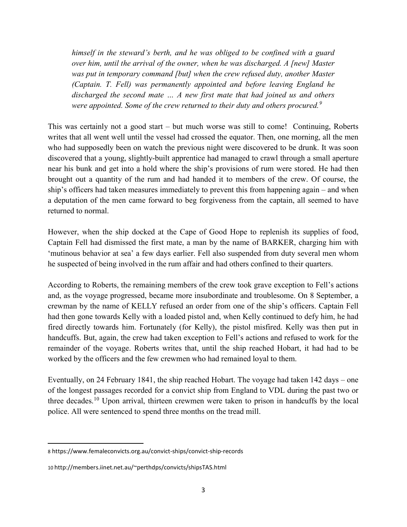himself in the steward's berth, and he was obliged to be confined with a guard over him, until the arrival of the owner, when he was discharged. A [new] Master was put in temporary command [but] when the crew refused duty, another Master (Captain. T. Fell) was permanently appointed and before leaving England he discharged the second mate … A new first mate that had joined us and others were appointed. Some of the crew returned to their duty and others procured.<sup>9</sup>

This was certainly not a good start – but much worse was still to come! Continuing, Roberts writes that all went well until the vessel had crossed the equator. Then, one morning, all the men who had supposedly been on watch the previous night were discovered to be drunk. It was soon discovered that a young, slightly-built apprentice had managed to crawl through a small aperture near his bunk and get into a hold where the ship's provisions of rum were stored. He had then brought out a quantity of the rum and had handed it to members of the crew. Of course, the ship's officers had taken measures immediately to prevent this from happening again – and when a deputation of the men came forward to beg forgiveness from the captain, all seemed to have returned to normal.

However, when the ship docked at the Cape of Good Hope to replenish its supplies of food, Captain Fell had dismissed the first mate, a man by the name of BARKER, charging him with 'mutinous behavior at sea' a few days earlier. Fell also suspended from duty several men whom he suspected of being involved in the rum affair and had others confined to their quarters.

According to Roberts, the remaining members of the crew took grave exception to Fell's actions and, as the voyage progressed, became more insubordinate and troublesome. On 8 September, a crewman by the name of KELLY refused an order from one of the ship's officers. Captain Fell had then gone towards Kelly with a loaded pistol and, when Kelly continued to defy him, he had fired directly towards him. Fortunately (for Kelly), the pistol misfired. Kelly was then put in handcuffs. But, again, the crew had taken exception to Fell's actions and refused to work for the remainder of the voyage. Roberts writes that, until the ship reached Hobart, it had had to be worked by the officers and the few crewmen who had remained loyal to them.

Eventually, on 24 February 1841, the ship reached Hobart. The voyage had taken 142 days – one of the longest passages recorded for a convict ship from England to VDL during the past two or three decades.<sup>10</sup> Upon arrival, thirteen crewmen were taken to prison in handcuffs by the local police. All were sentenced to spend three months on the tread mill.

<sup>8</sup> https://www.femaleconvicts.org.au/convict-ships/convict-ship-records

<sup>10</sup> http://members.iinet.net.au/~perthdps/convicts/shipsTAS.html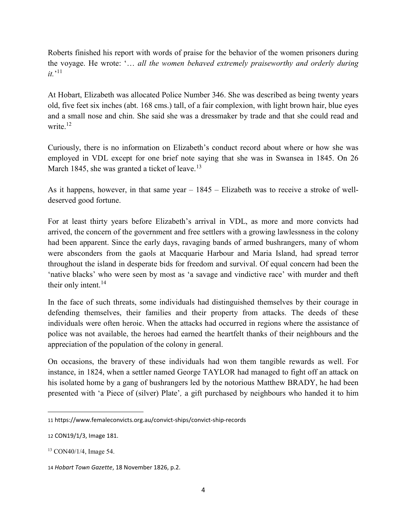Roberts finished his report with words of praise for the behavior of the women prisoners during the voyage. He wrote: '… all the women behaved extremely praiseworthy and orderly during  $it.^{11}$ 

At Hobart, Elizabeth was allocated Police Number 346. She was described as being twenty years old, five feet six inches (abt. 168 cms.) tall, of a fair complexion, with light brown hair, blue eyes and a small nose and chin. She said she was a dressmaker by trade and that she could read and write.<sup>12</sup>

Curiously, there is no information on Elizabeth's conduct record about where or how she was employed in VDL except for one brief note saying that she was in Swansea in 1845. On 26 March 1845, she was granted a ticket of leave.<sup>13</sup>

As it happens, however, in that same year – 1845 – Elizabeth was to receive a stroke of welldeserved good fortune.

For at least thirty years before Elizabeth's arrival in VDL, as more and more convicts had arrived, the concern of the government and free settlers with a growing lawlessness in the colony had been apparent. Since the early days, ravaging bands of armed bushrangers, many of whom were absconders from the gaols at Macquarie Harbour and Maria Island, had spread terror throughout the island in desperate bids for freedom and survival. Of equal concern had been the 'native blacks' who were seen by most as 'a savage and vindictive race' with murder and theft their only intent.<sup>14</sup>

In the face of such threats, some individuals had distinguished themselves by their courage in defending themselves, their families and their property from attacks. The deeds of these individuals were often heroic. When the attacks had occurred in regions where the assistance of police was not available, the heroes had earned the heartfelt thanks of their neighbours and the appreciation of the population of the colony in general.

On occasions, the bravery of these individuals had won them tangible rewards as well. For instance, in 1824, when a settler named George TAYLOR had managed to fight off an attack on his isolated home by a gang of bushrangers led by the notorious Matthew BRADY, he had been presented with 'a Piece of (silver) Plate', a gift purchased by neighbours who handed it to him

 $\overline{a}$ 

<sup>11</sup> https://www.femaleconvicts.org.au/convict-ships/convict-ship-records

<sup>12</sup> CON19/1/3, Image 181.

<sup>13</sup> CON40/1/4, Image 54.

<sup>14</sup> Hobart Town Gazette, 18 November 1826, p.2.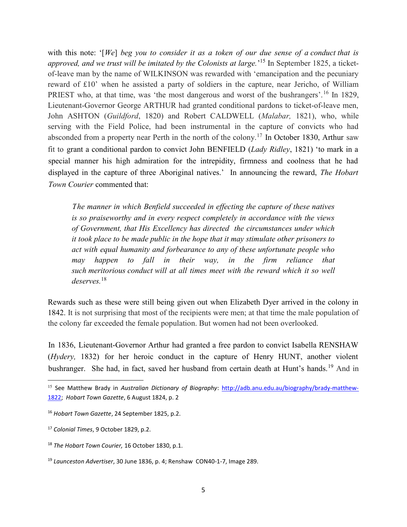with this note: '[We] beg you to consider it as a token of our due sense of a conduct that is approved, and we trust will be imitated by the Colonists at large.<sup>15</sup> In September 1825, a ticketof-leave man by the name of WILKINSON was rewarded with 'emancipation and the pecuniary reward of £10' when he assisted a party of soldiers in the capture, near Jericho, of William PRIEST who, at that time, was 'the most dangerous and worst of the bushrangers'.<sup>16</sup> In 1829, Lieutenant-Governor George ARTHUR had granted conditional pardons to ticket-of-leave men, John ASHTON (Guildford, 1820) and Robert CALDWELL (Malabar, 1821), who, while serving with the Field Police, had been instrumental in the capture of convicts who had absconded from a property near Perth in the north of the colony.<sup>17</sup> In October 1830, Arthur saw fit to grant a conditional pardon to convict John BENFIELD (Lady Ridley, 1821) 'to mark in a special manner his high admiration for the intrepidity, firmness and coolness that he had displayed in the capture of three Aboriginal natives.' In announcing the reward, The Hobart Town Courier commented that:

The manner in which Benfield succeeded in effecting the capture of these natives is so praiseworthy and in every respect completely in accordance with the views of Government, that His Excellency has directed the circumstances under which it took place to be made public in the hope that it may stimulate other prisoners to act with equal humanity and forbearance to any of these unfortunate people who may happen to fall in their way, in the firm reliance that such meritorious conduct will at all times meet with the reward which it so well  $deserves.$ <sup>18</sup>

Rewards such as these were still being given out when Elizabeth Dyer arrived in the colony in 1842. It is not surprising that most of the recipients were men; at that time the male population of the colony far exceeded the female population. But women had not been overlooked.

In 1836, Lieutenant-Governor Arthur had granted a free pardon to convict Isabella RENSHAW (Hydery, 1832) for her heroic conduct in the capture of Henry HUNT, another violent bushranger. She had, in fact, saved her husband from certain death at Hunt's hands.<sup>19</sup> And in

 $\overline{a}$ 

<sup>&</sup>lt;sup>15</sup> See Matthew Brady in Australian Dictionary of Biography: http://adb.anu.edu.au/biography/brady-matthew-1822; Hobart Town Gazette, 6 August 1824, p. 2

<sup>16</sup> Hobart Town Gazette, 24 September 1825, p.2.

<sup>17</sup> Colonial Times, 9 October 1829, p.2.

<sup>&</sup>lt;sup>18</sup> The Hobart Town Courier, 16 October 1830, p.1.

<sup>19</sup> Launceston Advertiser, 30 June 1836, p. 4; Renshaw CON40-1-7, Image 289.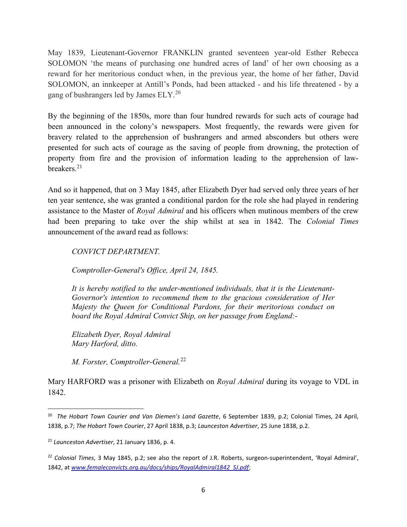May 1839, Lieutenant-Governor FRANKLIN granted seventeen year-old Esther Rebecca SOLOMON 'the means of purchasing one hundred acres of land' of her own choosing as a reward for her meritorious conduct when, in the previous year, the home of her father, David SOLOMON, an innkeeper at Antill's Ponds, had been attacked - and his life threatened - by a gang of bushrangers led by James ELY.<sup>20</sup>

By the beginning of the 1850s, more than four hundred rewards for such acts of courage had been announced in the colony's newspapers. Most frequently, the rewards were given for bravery related to the apprehension of bushrangers and armed absconders but others were presented for such acts of courage as the saving of people from drowning, the protection of property from fire and the provision of information leading to the apprehension of lawbreakers.<sup>21</sup>

And so it happened, that on 3 May 1845, after Elizabeth Dyer had served only three years of her ten year sentence, she was granted a conditional pardon for the role she had played in rendering assistance to the Master of *Royal Admiral* and his officers when mutinous members of the crew had been preparing to take over the ship whilst at sea in 1842. The Colonial Times announcement of the award read as follows:

CONVICT DEPARTMENT.

Comptroller-General's Office, April 24, 1845.

It is hereby notified to the under-mentioned individuals, that it is the Lieutenant-Governor's intention to recommend them to the gracious consideration of Her Majesty the Queen for Conditional Pardons, for their meritorious conduct on board the Royal Admiral Convict Ship, on her passage from England:-

Elizabeth Dyer, Royal Admiral Mary Harford, ditto.

M. Forster, Comptroller-General.<sup>22</sup>

Mary HARFORD was a prisoner with Elizabeth on *Royal Admiral* during its voyage to VDL in 1842.

<sup>&</sup>lt;sup>20</sup> The Hobart Town Courier and Van Diemen's Land Gazette, 6 September 1839, p.2; Colonial Times, 24 April, 1838, p.7; The Hobart Town Courier, 27 April 1838, p.3; Launceston Advertiser, 25 June 1838, p.2.

<sup>&</sup>lt;sup>21</sup> Launceston Advertiser, 21 January 1836, p. 4.

 $22$  Colonial Times, 3 May 1845, p.2; see also the report of J.R. Roberts, surgeon-superintendent, 'Royal Admiral', 1842, at www.femaleconvicts.org.au/docs/ships/RoyalAdmiral1842\_SJ.pdf;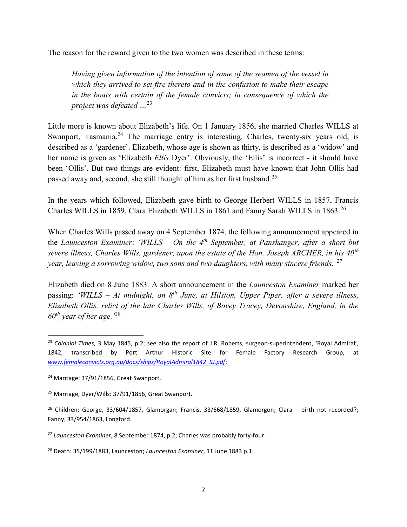The reason for the reward given to the two women was described in these terms:

Having given information of the intention of some of the seamen of the vessel in which they arrived to set fire thereto and in the confusion to make their escape in the boats with certain of the female convicts; in consequence of which the project was defeated  $\ldots^{23}$ 

Little more is known about Elizabeth's life. On 1 January 1856, she married Charles WILLS at Swanport, Tasmania.<sup>24</sup> The marriage entry is interesting. Charles, twenty-six years old, is described as a 'gardener'. Elizabeth, whose age is shown as thirty, is described as a 'widow' and her name is given as 'Elizabeth *Ellis* Dyer'. Obviously, the 'Ellis' is incorrect - it should have been 'Ollis'. But two things are evident: first, Elizabeth must have known that John Ollis had passed away and, second, she still thought of him as her first husband.<sup>25</sup>

In the years which followed, Elizabeth gave birth to George Herbert WILLS in 1857, Francis Charles WILLS in 1859, Clara Elizabeth WILLS in 1861 and Fanny Sarah WILLS in 1863.<sup>26</sup>

When Charles Wills passed away on 4 September 1874, the following announcement appeared in the Launceston Examiner: 'WILLS – On the  $4<sup>th</sup>$  September, at Panshanger, after a short but severe illness, Charles Wills, gardener, upon the estate of the Hon. Joseph ARCHER, in his  $40<sup>th</sup>$ year, leaving a sorrowing widow, two sons and two daughters, with many sincere friends.<sup>'27</sup>

Elizabeth died on 8 June 1883. A short announcement in the Launceston Examiner marked her passing: 'WILLS – At midnight, on  $8<sup>th</sup>$  June, at Hilston, Upper Piper, after a severe illness, Elizabeth Ollis, relict of the late Charles Wills, of Bovey Tracey, Devonshire, England, in the  $60^{th}$  year of her age.  $^{28}$ 

 $\overline{a}$ 

<sup>&</sup>lt;sup>23</sup> Colonial Times, 3 May 1845, p.2; see also the report of J.R. Roberts, surgeon-superintendent, 'Royal Admiral', 1842, transcribed by Port Arthur Historic Site for Female Factory Research Group, at www.femaleconvicts.org.au/docs/ships/RoyalAdmiral1842\_SJ.pdf;

<sup>&</sup>lt;sup>24</sup> Marriage: 37/91/1856, Great Swanport.

<sup>25</sup> Marriage, Dyer/Wills: 37/91/1856, Great Swanport.

<sup>&</sup>lt;sup>26</sup> Children: George, 33/604/1857, Glamorgan; Francis, 33/668/1859, Glamorgon; Clara – birth not recorded?; Fanny, 33/954/1863, Longford.

 $27$  Launceston Examiner, 8 September 1874, p.2; Charles was probably forty-four.

<sup>&</sup>lt;sup>28</sup> Death: 35/199/1883, Launceston; Launceston Examiner, 11 June 1883 p.1.